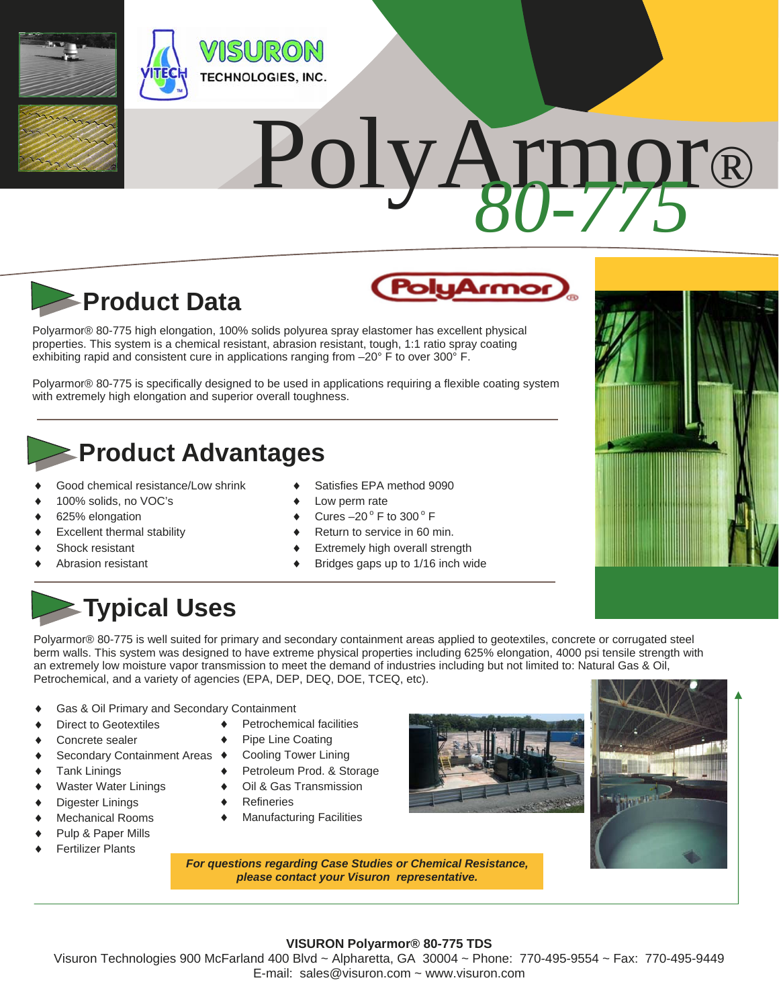

# PolyArmor®



Polyarmor® 80-775 high elongation, 100% solids polyurea spray elastomer has excellent physical properties. This system is a chemical resistant, abrasion resistant, tough, 1:1 ratio spray coating exhibiting rapid and consistent cure in applications ranging from -20° F to over 300° F.

Polyarmor® 80-775 is specifically designed to be used in applications requiring a flexible coating system with extremely high elongation and superior overall toughness.

### **Product Advantages**

- Good chemical resistance/Low shrink
- 100% solids, no VOC's
- 625% elongation
- Excellent thermal stability
- Shock resistant
- Abrasion resistant
- Satisfies EPA method 9090
- Low perm rate
- Cures  $-20^\circ$  F to 300 $^\circ$  F
- Return to service in 60 min.
- Extremely high overall strength
- Bridges gaps up to 1/16 inch wide

## **Typical Uses**

Polyarmor® 80-775 is well suited for primary and secondary containment areas applied to geotextiles, concrete or corrugated steel berm walls. This system was designed to have extreme physical properties including 625% elongation, 4000 psi tensile strength with an extremely low moisture vapor transmission to meet the demand of industries including but not limited to: Natural Gas & Oil, Petrochemical, and a variety of agencies (EPA, DEP, DEQ, DOE, TCEQ, etc).

- Gas & Oil Primary and Secondary Containment
- Direct to Geotextiles
- Concrete sealer
- ◆ Secondary Containment Areas ◆
- ◆ Tank Linings
- Waster Water Linings
- Digester Linings
- Mechanical Rooms
- Pulp & Paper Mills
- Fertilizer Plants
- ◆ Petrochemical facilities
- Pipe Line Coating
- Cooling Tower Lining
- Petroleum Prod. & Storage
- Oil & Gas Transmission
- Refineries
- Manufacturing Facilities





*For questions regarding Case Studies or Chemical Resistance, please contact your Visuron representative.* 

### **VISURON Polyarmor® 80-775 TDS**

Visuron Technologies 900 McFarland 400 Blvd ~ Alpharetta, GA 30004 ~ Phone: 770-495-9554 ~ Fax: 770-495-9449 E-mail: sales@visuron.com ~ www.visuron.com